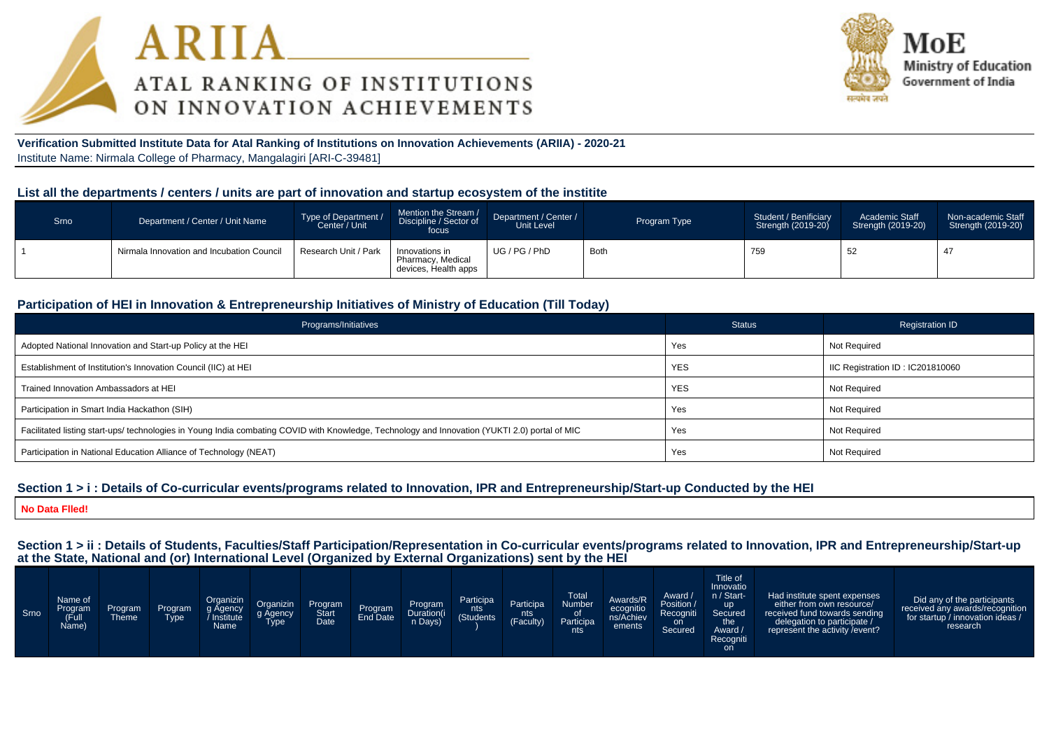



**Verification Submitted Institute Data for Atal Ranking of Institutions on Innovation Achievements (ARIIA) - 2020-21**Institute Name: Nirmala College of Pharmacy, Mangalagiri [ARI-C-39481]

#### **List all the departments / centers / units are part of innovation and startup ecosystem of the institite**

| Srno | Department / Center / Unit Name           | Type of Department /<br>Center / Unit | Mention the Stream /<br>Discipline / Sector of<br>focus     | Department / Center /<br>Unit Level | Program Type | Student / Benificiary<br>Strength (2019-20) | Academic Staff<br>Strength (2019-20) | Non-academic Staff<br>Strength (2019-20) |
|------|-------------------------------------------|---------------------------------------|-------------------------------------------------------------|-------------------------------------|--------------|---------------------------------------------|--------------------------------------|------------------------------------------|
|      | Nirmala Innovation and Incubation Council | Research Unit / Park                  | Innovations in<br>Pharmacy, Medical<br>devices, Health apps | UG / PG / PhD                       | Both         | 759                                         | 52                                   | 47                                       |

#### **Participation of HEI in Innovation & Entrepreneurship Initiatives of Ministry of Education (Till Today)**

| Programs/Initiatives                                                                                                                           | <b>Status</b> | <b>Registration ID</b>           |
|------------------------------------------------------------------------------------------------------------------------------------------------|---------------|----------------------------------|
| Adopted National Innovation and Start-up Policy at the HEI                                                                                     | Yes           | Not Required                     |
| Establishment of Institution's Innovation Council (IIC) at HEI                                                                                 | <b>YES</b>    | IIC Registration ID: IC201810060 |
| Trained Innovation Ambassadors at HEI                                                                                                          | <b>YES</b>    | Not Required                     |
| Participation in Smart India Hackathon (SIH)                                                                                                   | Yes           | Not Required                     |
| Facilitated listing start-ups/ technologies in Young India combating COVID with Knowledge, Technology and Innovation (YUKTI 2.0) portal of MIC | Yes           | Not Required                     |
| Participation in National Education Alliance of Technology (NEAT)                                                                              | Yes           | Not Required                     |

#### **Section 1 > i : Details of Co-curricular events/programs related to Innovation, IPR and Entrepreneurship/Start-up Conducted by the HEI**

**No Data Flled!**

**Section 1 > ii : Details of Students, Faculties/Staff Participation/Representation in Co-curricular events/programs related to Innovation, IPR and Entrepreneurship/Start-upat the State, National and (or) International Level (Organized by External Organizations) sent by the HEI**

| Srno | Name of<br>Program<br>(Full<br>Name) | Program<br>Theme | Program<br><b>Type</b> | Organizin<br>g Agency<br>Institute<br>Name <sup>1</sup> | Organizin<br>g Agency<br>Type | Program<br>Start<br>Date | Program<br>End Date | Program<br>Duration(i<br>n Days) | Participa<br>nts<br>(Students) | <b>Participa</b><br>nts<br>(Faculty) | <b>Total</b><br>Number<br>0t<br>Participa<br>nts | Awards/R<br>ecognitio<br>ns/Achiev<br>ements | Award /<br>Position /<br>Recogniti<br>on<br>Secured | Title of<br>Innovatio<br>n / Start-<br><b>up</b><br>Secured<br>the<br>Award /<br>Recogniti<br>on | Had institute spent expenses<br>either from own resource/<br>received fund towards sending<br>delegation to participate /<br>represent the activity / event? | Did any of the participants<br>received any awards/recognition<br>for startup / innovation ideas /<br>research |
|------|--------------------------------------|------------------|------------------------|---------------------------------------------------------|-------------------------------|--------------------------|---------------------|----------------------------------|--------------------------------|--------------------------------------|--------------------------------------------------|----------------------------------------------|-----------------------------------------------------|--------------------------------------------------------------------------------------------------|--------------------------------------------------------------------------------------------------------------------------------------------------------------|----------------------------------------------------------------------------------------------------------------|
|------|--------------------------------------|------------------|------------------------|---------------------------------------------------------|-------------------------------|--------------------------|---------------------|----------------------------------|--------------------------------|--------------------------------------|--------------------------------------------------|----------------------------------------------|-----------------------------------------------------|--------------------------------------------------------------------------------------------------|--------------------------------------------------------------------------------------------------------------------------------------------------------------|----------------------------------------------------------------------------------------------------------------|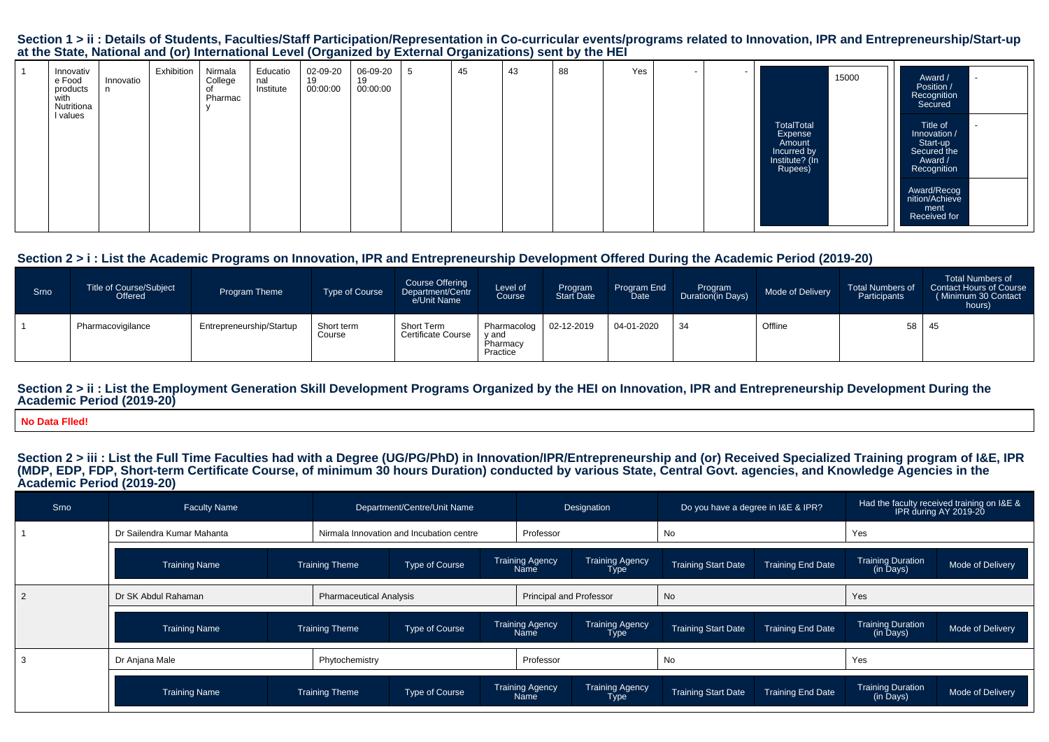#### Section 1 > ii : Details of Students, Faculties/Staff Participation/Representation in Co-curricular events/programs related to Innovation, IPR and Entrepreneurship/Start-up **at the State, National and (or) International Level (Organized by External Organizations) sent by the HEI**

| Innovativ<br>e Food<br>Innovatio<br>products<br>n<br>with<br>Nutritiona<br>I values | Exhibition<br>Nirmala<br>College<br>Pharmac | Educatio<br>02-09-20<br>19<br>nal<br>00:00:00<br>Institute | 06-09-20<br>-5<br>19<br>00:00:00 | 45<br>43 | Yes<br>88 | . .<br>$\overline{\phantom{a}}$ | 15000<br>TotalTotal<br>Expense<br>Amount<br>Incurred by<br>Institute? (In<br>Rupees) | Award /<br>Position /<br>Recognition<br>Secured<br>Title of<br>Innovation /<br>Start-up<br>Secured the<br>Award /<br>Recognition<br>Award/Recog<br>nition/Achieve<br>ment<br>Received for |
|-------------------------------------------------------------------------------------|---------------------------------------------|------------------------------------------------------------|----------------------------------|----------|-----------|---------------------------------|--------------------------------------------------------------------------------------|-------------------------------------------------------------------------------------------------------------------------------------------------------------------------------------------|
|-------------------------------------------------------------------------------------|---------------------------------------------|------------------------------------------------------------|----------------------------------|----------|-----------|---------------------------------|--------------------------------------------------------------------------------------|-------------------------------------------------------------------------------------------------------------------------------------------------------------------------------------------|

#### **Section 2 > i : List the Academic Programs on Innovation, IPR and Entrepreneurship Development Offered During the Academic Period (2019-20)**

| Srno | <b>Title of Course/Subject</b><br>Offered | <b>Program Theme</b>     | Type of Course       | <b>Course Offering</b><br>Department/Centr<br>e/Unit Name | Level of<br>Course                           | Program<br><b>Start Date</b> | Program End<br>Date | Program<br>Duration(in Days) | Mode of Delivery | <b>Total Numbers of</b><br>Participants | <b>Total Numbers of</b><br>Contact Hours of Course<br>(Minimum 30 Contact<br>hours) |
|------|-------------------------------------------|--------------------------|----------------------|-----------------------------------------------------------|----------------------------------------------|------------------------------|---------------------|------------------------------|------------------|-----------------------------------------|-------------------------------------------------------------------------------------|
|      | Pharmacovigilance                         | Entrepreneurship/Startup | Short term<br>Course | Short Term<br>Certificate Course                          | Pharmacolog<br>y and<br>Pharmacy<br>Practice | 02-12-2019                   | 04-01-2020          | 34                           | Offline          | 58                                      | -45                                                                                 |

#### Section 2 > ii : List the Employment Generation Skill Development Programs Organized by the HEI on Innovation, IPR and Entrepreneurship Development During the **Academic Period (2019-20)**

**No Data Flled!**

# Section 2 > iii : List the Full Time Faculties had with a Degree (UG/PG/PhD) in Innovation/IPR/Entrepreneurship and (or) Received Specialized Training program of I&E, IPR<br>(MDP, EDP, FDP, Short-term Certificate Course, of m **Academic Period (2019-20)**

| Srno | <b>Faculty Name</b>        |                       | Department/Centre/Unit Name              |                         |                                                                  | Designation                    | Do you have a degree in I&E & IPR?                     |                          | Had the faculty received training on I&E &<br>IPR during AY 2019-20 |                  |
|------|----------------------------|-----------------------|------------------------------------------|-------------------------|------------------------------------------------------------------|--------------------------------|--------------------------------------------------------|--------------------------|---------------------------------------------------------------------|------------------|
|      | Dr Sailendra Kumar Mahanta |                       | Nirmala Innovation and Incubation centre |                         |                                                                  | Professor                      |                                                        |                          | Yes                                                                 |                  |
|      | <b>Training Name</b>       | <b>Training Theme</b> | Type of Course                           | Training Agency<br>Name |                                                                  | Training Agency<br>Type        | <b>Training Start Date</b>                             | <b>Training End Date</b> | <b>Training Duration</b><br>(in Days)                               | Mode of Delivery |
|      | Dr SK Abdul Rahaman        |                       | <b>Pharmaceutical Analysis</b>           |                         |                                                                  | <b>Principal and Professor</b> | No                                                     |                          | Yes                                                                 |                  |
|      | <b>Training Name</b>       | <b>Training Theme</b> | Type of Course                           |                         | Training Agency<br>Name                                          | <b>Training Agency</b><br>Type | <b>Training End Date</b><br><b>Training Start Date</b> |                          | <b>Training Duration</b><br>(in Days)                               | Mode of Delivery |
|      | Dr Anjana Male             | Phytochemistry        |                                          |                         |                                                                  |                                | No                                                     |                          | Yes                                                                 |                  |
|      | <b>Training Name</b>       | <b>Training Theme</b> | Type of Course                           |                         | <b>Training Agency</b><br><b>Training Agency</b><br>Name<br>Type |                                | <b>Training End Date</b><br><b>Training Start Date</b> |                          | <b>Training Duration</b><br>(in Days)                               | Mode of Delivery |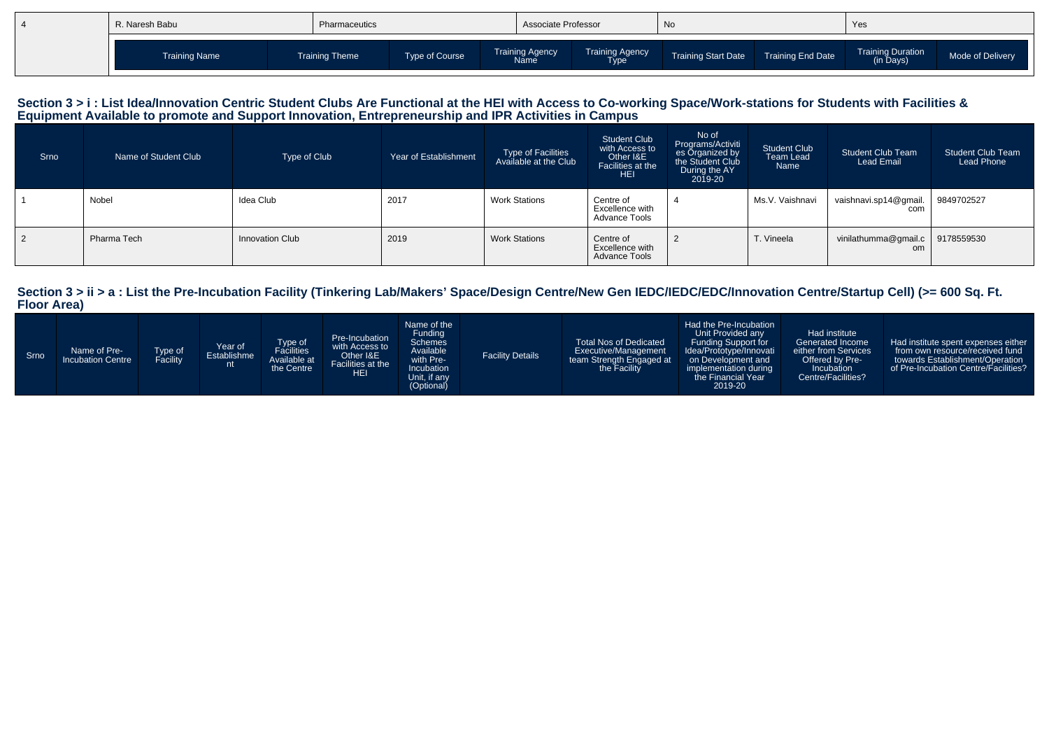| R. Naresh Babu       | Pharmaceutics  |                | Associate Professor                   |                                | <b>No</b>                  |                   | Yes                                   |                  |
|----------------------|----------------|----------------|---------------------------------------|--------------------------------|----------------------------|-------------------|---------------------------------------|------------------|
| <b>Training Name</b> | Training Theme | Type of Course | <b>Training Agency</b><br><b>Name</b> | <b>Training Agency</b><br>Гуре | <b>Training Start Date</b> | Training End Date | <b>Training Duration</b><br>(in Days) | Mode of Delivery |

# Section 3 > i : List Idea/Innovation Centric Student Clubs Are Functional at the HEI with Access to Co-working Space/Work-stations for Students with Facilities &<br>Equipment Available to promote and Support Innovation, Entre

| Srno | Name of Student Club | Type of Club    | Year of Establishment | Type of Facilities<br>Available at the Club | <b>Student Club</b><br>with Access to<br>Other I&E<br>Facilities at the<br><b>HEI</b> | No of<br>Programs/Activiti<br>es Organized by<br>the Student Club<br>During the AY<br>2019-20 | <b>Student Club</b><br>Team Lead<br>Name | <b>Student Club Team</b><br><b>Lead Email</b> | <b>Student Club Team</b><br>Lead Phone |
|------|----------------------|-----------------|-----------------------|---------------------------------------------|---------------------------------------------------------------------------------------|-----------------------------------------------------------------------------------------------|------------------------------------------|-----------------------------------------------|----------------------------------------|
|      | Nobel                | Idea Club       | 2017                  | <b>Work Stations</b>                        | Centre of<br>Excellence with<br>Advance Tools                                         |                                                                                               | Ms.V. Vaishnavi                          | vaishnavi.sp14@qmail.<br>com                  | 9849702527                             |
| 2    | Pharma Tech          | Innovation Club | 2019                  | <b>Work Stations</b>                        | Centre of<br>Excellence with<br><b>Advance Tools</b>                                  | $\overline{2}$                                                                                | T. Vineela                               | vinilathumma@gmail.c<br>om                    | 9178559530                             |

# **Section 3 > ii > a : List the Pre-Incubation Facility (Tinkering Lab/Makers' Space/Design Centre/New Gen IEDC/IEDC/EDC/Innovation Centre/Startup Cell) (>= 600 Sq. Ft. Floor Area)**

| Srno | Name of Pre-<br>Type of<br>Facility<br><b>Incubation Centre</b> | Year of<br>Establishme | Type of<br>Facilities<br>Available at<br>the Centre | Pre-Incubation<br>with Access to<br>Other I&E<br>Facilities at the<br><b>HEI</b> | Name of the<br>Funding<br><b>Schemes</b><br>Available<br>with Pre-<br>Incubation<br>Unit, if any<br>(Optional) | <b>Facility Details</b> | <b>Total Nos of Dedicated</b><br>Executive/Management<br>team Strength Engaged at<br>the Facility | Had the Pre-Incubation<br>Unit Provided any<br><b>Funding Support for</b><br>Idea/Prototype/Innovati<br>on Development and<br>implementation during<br>the Financial Year<br>2019-20 | Had institute<br>Generated Income<br>either from Services<br>Offered by Pre-<br>Incubation<br>Centre/Facilities? | Had institute spent expenses either<br>from own resource/received fund<br>towards Establishment/Operation<br>of Pre-Incubation Centre/Facilities? |
|------|-----------------------------------------------------------------|------------------------|-----------------------------------------------------|----------------------------------------------------------------------------------|----------------------------------------------------------------------------------------------------------------|-------------------------|---------------------------------------------------------------------------------------------------|--------------------------------------------------------------------------------------------------------------------------------------------------------------------------------------|------------------------------------------------------------------------------------------------------------------|---------------------------------------------------------------------------------------------------------------------------------------------------|
|------|-----------------------------------------------------------------|------------------------|-----------------------------------------------------|----------------------------------------------------------------------------------|----------------------------------------------------------------------------------------------------------------|-------------------------|---------------------------------------------------------------------------------------------------|--------------------------------------------------------------------------------------------------------------------------------------------------------------------------------------|------------------------------------------------------------------------------------------------------------------|---------------------------------------------------------------------------------------------------------------------------------------------------|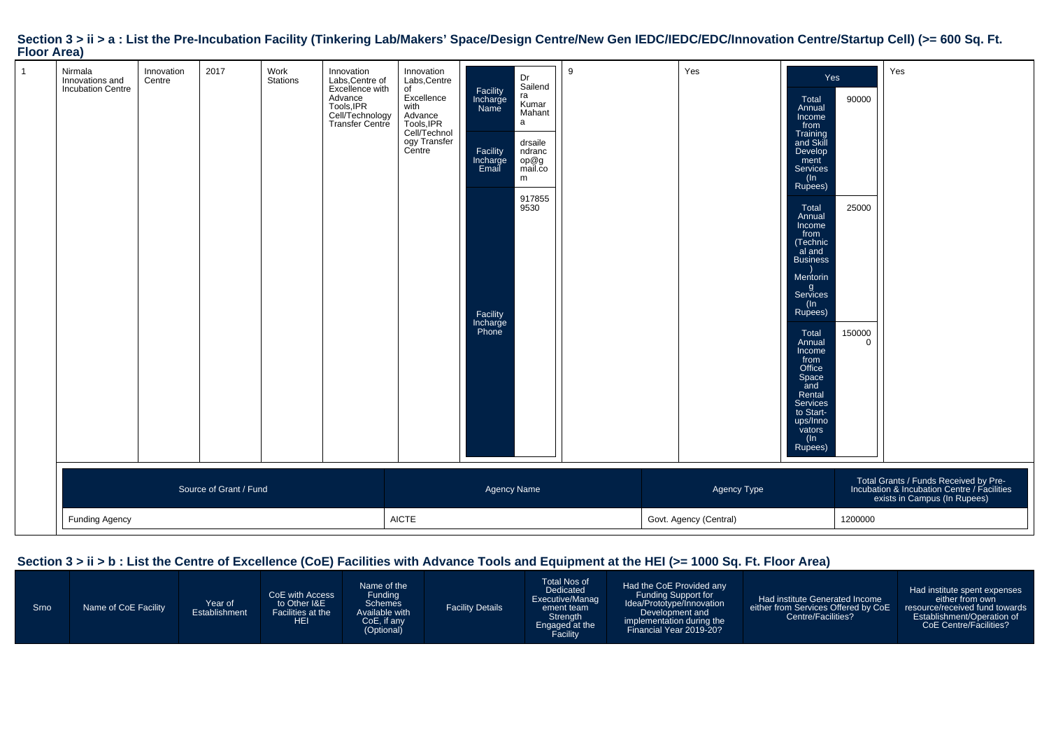| $\mathbf{1}$ | Nirmala<br>Innovations and<br><b>Incubation Centre</b> | Innovation<br>Centre | 2017                   | Work<br>Stations | Innovation<br>Labs, Centre of<br>Excellence with<br>Advance<br>Tools, IPR<br>Cell/Technology<br>Transfer Centre | Innovation<br>Labs, Centre<br>of<br>Excellence<br>with<br>Advance<br>Tools,IPR<br>Cell/Technol<br>ogy Transfer<br>Centre | Facility<br>Incharge<br>Name<br>Facility<br>Incharge<br>Email<br>Facility<br>Incharge<br>Phone | Dr<br>Sailend<br>ra<br>Kumar<br>Mahant<br>$\mathsf{a}$<br>drsaile<br>ndranc<br>op@g<br>mail.co<br>m<br>917855<br>9530 | 9 |  | Yes         | Yes<br>Total<br>Annual<br>Income<br>from<br>Training<br>and Skill<br>Develop<br>ment<br>Services<br>(In<br>Rupees)<br>Total<br>Annual<br>Income<br>from<br>(Technic<br>al and<br><b>Business</b><br>Mentorin<br>g<br>Services<br>(ln<br>Rupees)<br>Total<br>Annual<br>Income<br>from<br>Office<br>Space<br>and<br>Rental<br>Services<br>to Start-<br>ups/Inno<br>vators<br>(In<br>Rupees) | 90000<br>25000<br>150000<br>$\mathbf 0$ | Yes                                                                                                                  |
|--------------|--------------------------------------------------------|----------------------|------------------------|------------------|-----------------------------------------------------------------------------------------------------------------|--------------------------------------------------------------------------------------------------------------------------|------------------------------------------------------------------------------------------------|-----------------------------------------------------------------------------------------------------------------------|---|--|-------------|-------------------------------------------------------------------------------------------------------------------------------------------------------------------------------------------------------------------------------------------------------------------------------------------------------------------------------------------------------------------------------------------|-----------------------------------------|----------------------------------------------------------------------------------------------------------------------|
|              |                                                        |                      | Source of Grant / Fund |                  |                                                                                                                 |                                                                                                                          | Agency Name                                                                                    |                                                                                                                       |   |  | Agency Type |                                                                                                                                                                                                                                                                                                                                                                                           |                                         | Total Grants / Funds Received by Pre-<br>Incubation & Incubation Centre / Facilities<br>exists in Campus (In Rupees) |
|              | <b>Funding Agency</b>                                  |                      |                        |                  | <b>AICTE</b>                                                                                                    |                                                                                                                          |                                                                                                | Govt. Agency (Central)<br>1200000                                                                                     |   |  |             |                                                                                                                                                                                                                                                                                                                                                                                           |                                         |                                                                                                                      |

# **Section 3 > ii > a : List the Pre-Incubation Facility (Tinkering Lab/Makers' Space/Design Centre/New Gen IEDC/IEDC/EDC/Innovation Centre/Startup Cell) (>= 600 Sq. Ft. Floor Area)**

## **Section 3 > ii > b : List the Centre of Excellence (CoE) Facilities with Advance Tools and Equipment at the HEI (>= 1000 Sq. Ft. Floor Area)**

| Srno | Name of CoE Facility | Year of<br>Establishment | CoE with Access<br>to Other I&E<br>Facilities at the<br>HEI | Name of the<br><b>Funding</b><br><b>Schemes</b><br>Available with<br>CoE, if any<br>(Optional) | <b>Facility Details</b> | Total Nos of<br>Dedicated<br>Executive/Manag<br>ement team<br>Strength<br>Engaged at the<br>Facility | Had the CoE Provided any<br><b>Funding Support for</b><br>Idea/Prototype/Innovation<br>Development and<br>implementation during the<br>Financial Year 2019-20? | Had institute Generated Income<br>either from Services Offered by CoE<br>Centre/Facilities? | Had institute spent expenses<br>either from own<br>resource/received fund towards<br>Establishment/Operation of<br><b>CoE Centre/Facilities?</b> |
|------|----------------------|--------------------------|-------------------------------------------------------------|------------------------------------------------------------------------------------------------|-------------------------|------------------------------------------------------------------------------------------------------|----------------------------------------------------------------------------------------------------------------------------------------------------------------|---------------------------------------------------------------------------------------------|--------------------------------------------------------------------------------------------------------------------------------------------------|
|------|----------------------|--------------------------|-------------------------------------------------------------|------------------------------------------------------------------------------------------------|-------------------------|------------------------------------------------------------------------------------------------------|----------------------------------------------------------------------------------------------------------------------------------------------------------------|---------------------------------------------------------------------------------------------|--------------------------------------------------------------------------------------------------------------------------------------------------|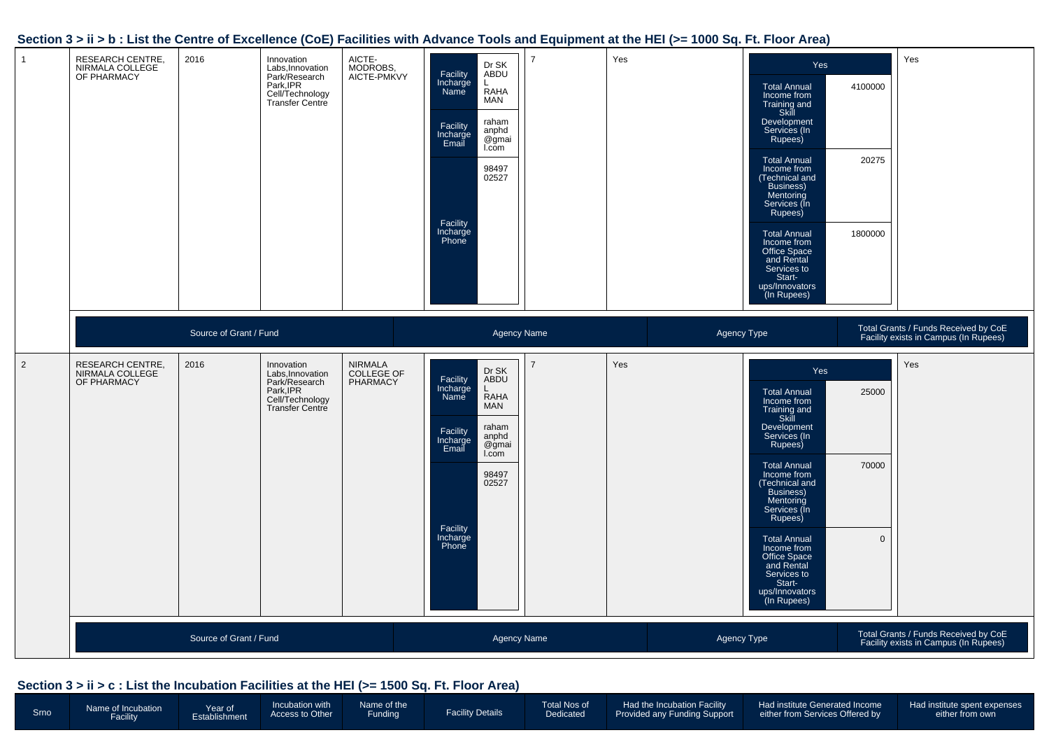#### **Section 3 > ii > b : List the Centre of Excellence (CoE) Facilities with Advance Tools and Equipment at the HEI (>= 1000 Sq. Ft. Floor Area)**

| $\overline{1}$ | <b>RESEARCH CENTRE,</b><br>NIRMALA COLLEGE<br>OF PHARMACY | 2016                   | Innovation<br>Labs, Innovation<br>Park/Research<br>Park, IPR<br>Cell/Technology<br><b>Transfer Centre</b> | AICTE-<br>MODROBS,<br>AICTE-PMKVY | Dr SK<br>ABDU<br>Facility<br>Incharge<br>Name<br><b>RAHA</b><br><b>MAN</b><br>raham<br>Facility<br>anphd<br>Incharge<br>Email<br>@gmai<br>I.com<br>98497<br>02527<br>Facility<br>Incharge<br>Phone      | $\overline{7}$ | Yes | Yes<br><b>Total Annual</b><br>Income from<br>Training and<br>Skill<br>Development<br>Services (In<br>Rupees)<br><b>Total Annual</b><br>Income from<br>Technical and<br>Business)<br>Mentoring<br>Services (In<br>Rupees)<br><b>Total Annual</b><br>Income from<br>Office Space<br>and Rental<br>Services to<br>Start-<br>ups/Innovators<br>(In Rupees) | 4100000<br>20275<br>1800000   | Yes                                                                           |
|----------------|-----------------------------------------------------------|------------------------|-----------------------------------------------------------------------------------------------------------|-----------------------------------|---------------------------------------------------------------------------------------------------------------------------------------------------------------------------------------------------------|----------------|-----|--------------------------------------------------------------------------------------------------------------------------------------------------------------------------------------------------------------------------------------------------------------------------------------------------------------------------------------------------------|-------------------------------|-------------------------------------------------------------------------------|
|                |                                                           | Source of Grant / Fund |                                                                                                           |                                   | Agency Name                                                                                                                                                                                             |                |     | Agency Type                                                                                                                                                                                                                                                                                                                                            |                               | Total Grants / Funds Received by CoE<br>Facility exists in Campus (In Rupees) |
| $\overline{2}$ | RESEARCH CENTRE,<br>NIRMALA COLLEGE<br>OF PHARMACY        | 2016                   | Innovation<br>Labs, Innovation<br>Park/Research<br>Park, IPR<br>Cell/Technology<br>Transfer Centre        | NIRMALA<br>COLLEGE OF<br>PHARMACY | Dr SK<br>Facility<br>ABDU<br>Incharge<br>Name<br>L<br><b>RAHA</b><br><b>MAN</b><br>raham<br>Facility<br>anphd<br>Incharge<br>@gmai<br>Email<br>I.com<br>98497<br>02527<br>Facility<br>Incharge<br>Phone | $\overline{7}$ | Yes | Yes<br><b>Total Annual</b><br>Income from<br>Training and<br>Skill<br>Development<br>Services (In<br>Rupees)<br><b>Total Annual</b><br>Income from<br>Technical and<br>Business)<br>Mentoring<br>Services (In<br>Rupees)<br><b>Total Annual</b><br>Income from<br>Office Space<br>and Rental<br>Services to<br>Start-<br>ups/Innovators<br>(In Rupees) | 25000<br>70000<br>$\mathbf 0$ | Yes                                                                           |
|                |                                                           | Source of Grant / Fund |                                                                                                           |                                   | <b>Agency Name</b>                                                                                                                                                                                      |                |     | Agency Type                                                                                                                                                                                                                                                                                                                                            |                               | Total Grants / Funds Received by CoE<br>Facility exists in Campus (In Rupees) |

#### **Section 3 > ii > c : List the Incubation Facilities at the HEI (>= 1500 Sq. Ft. Floor Area)**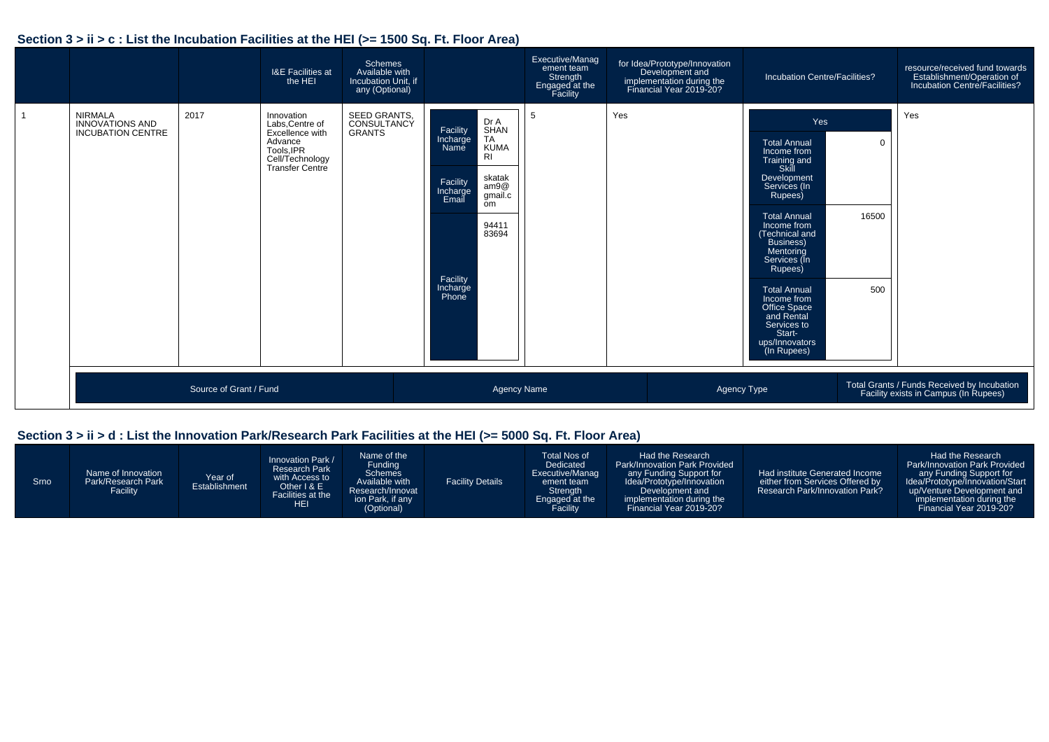#### **Section 3 > ii > c : List the Incubation Facilities at the HEI (>= 1500 Sq. Ft. Floor Area)**

|                                                                      |                        | <b>I&amp;E Facilities at</b><br>the HEI                                                                         | <b>Schemes</b><br>Available with<br>Incubation Unit, if<br>any (Optional) |                                                                                                                                                                                                                   | Executive/Manag<br>ement team<br>Strength<br>Engaged at the<br>Facility | for Idea/Prototype/Innovation<br>Development and<br>implementation during the<br>Financial Year 2019-20? | Incubation Centre/Facilities?                                                                                                                                                                                                                                                                                                                           |                          | resource/received fund towards<br>Establishment/Operation of<br>Incubation Centre/Facilities? |
|----------------------------------------------------------------------|------------------------|-----------------------------------------------------------------------------------------------------------------|---------------------------------------------------------------------------|-------------------------------------------------------------------------------------------------------------------------------------------------------------------------------------------------------------------|-------------------------------------------------------------------------|----------------------------------------------------------------------------------------------------------|---------------------------------------------------------------------------------------------------------------------------------------------------------------------------------------------------------------------------------------------------------------------------------------------------------------------------------------------------------|--------------------------|-----------------------------------------------------------------------------------------------|
| <b>NIRMALA</b><br><b>INNOVATIONS AND</b><br><b>INCUBATION CENTRE</b> | 2017                   | Innovation<br>Labs, Centre of<br>Excellence with<br>Advance<br>Tools, IPR<br>Cell/Technology<br>Transfer Centre | SEED GRANTS.<br>CONSULTANCY<br><b>GRANTS</b>                              | Dr A<br>SHAN<br>Facility<br><b>TA</b><br>Incharge<br><b>KUMA</b><br>Name<br>R <sub>l</sub><br>skatak<br>Facility<br>am9@<br>Incharge<br>Email<br>gmail.c<br>om<br>94411<br>83694<br>Facility<br>Incharge<br>Phone | -5                                                                      | Yes                                                                                                      | Yes<br><b>Total Annual</b><br>Income from<br>Training and<br>Skill<br>Development<br>Services (In<br>Rupees)<br><b>Total Annual</b><br>Income from<br>(Technical and<br>Business)<br>Mentoring<br>Services (In<br>Rupees)<br><b>Total Annual</b><br>Income from<br>Office Space<br>and Rental<br>Services to<br>Start-<br>ups/Innovators<br>(In Rupees) | $\Omega$<br>16500<br>500 | Yes                                                                                           |
|                                                                      | Source of Grant / Fund |                                                                                                                 |                                                                           |                                                                                                                                                                                                                   | <b>Agency Name</b>                                                      |                                                                                                          | Agency Type                                                                                                                                                                                                                                                                                                                                             |                          | Total Grants / Funds Received by Incubation<br>Facility exists in Campus (In Rupees)          |

## **Section 3 > ii > d : List the Innovation Park/Research Park Facilities at the HEI (>= 5000 Sq. Ft. Floor Area)**

| Srno | Name of Innovation<br>Park/Research Park<br>Facility | Year of<br>Establishment | Innovation Park /<br><b>Research Park</b><br>with Access to<br>Other I & E<br>Facilities at the<br>HEI. | Name of the<br>Funding<br><b>Schemes</b><br>Available with<br>Research/Innovat<br>ion Park, if any<br>(Optional) | <b>Facility Details</b> | Total Nos of<br>Dedicated<br>Executive/Manag<br>ement team<br>Strength<br>Engaged at the<br>Facility | Had the Research<br><b>Park/Innovation Park Provided</b><br>any Funding Support for<br>Idea/Prototype/Innovation<br>Development and<br>implementation during the 1<br>Financial Year 2019-20? | Had institute Generated Income<br>either from Services Offered by<br><b>Research Park/Innovation Park?</b> | Had the Research<br><b>Park/Innovation Park Provided</b><br>any Funding Support for<br>Idea/Prototype/Innovation/Start<br>up/Venture Development and<br>implementation during the<br>Financial Year 2019-20? |
|------|------------------------------------------------------|--------------------------|---------------------------------------------------------------------------------------------------------|------------------------------------------------------------------------------------------------------------------|-------------------------|------------------------------------------------------------------------------------------------------|-----------------------------------------------------------------------------------------------------------------------------------------------------------------------------------------------|------------------------------------------------------------------------------------------------------------|--------------------------------------------------------------------------------------------------------------------------------------------------------------------------------------------------------------|
|------|------------------------------------------------------|--------------------------|---------------------------------------------------------------------------------------------------------|------------------------------------------------------------------------------------------------------------------|-------------------------|------------------------------------------------------------------------------------------------------|-----------------------------------------------------------------------------------------------------------------------------------------------------------------------------------------------|------------------------------------------------------------------------------------------------------------|--------------------------------------------------------------------------------------------------------------------------------------------------------------------------------------------------------------|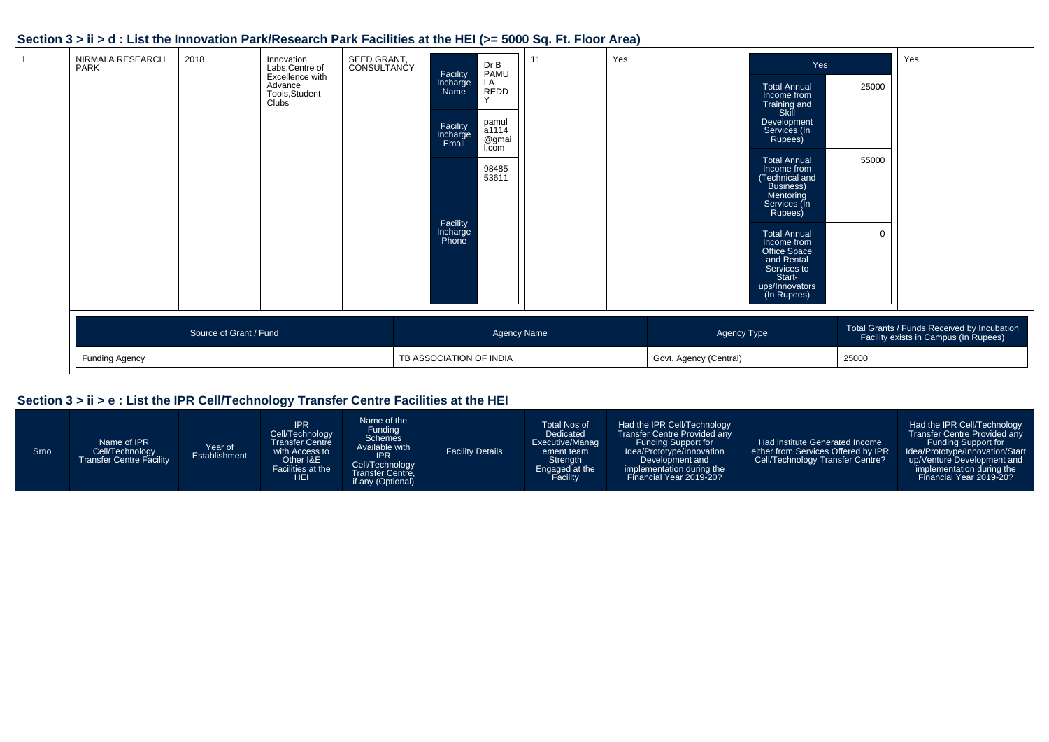#### **Section 3 > ii > d : List the Innovation Park/Research Park Facilities at the HEI (>= 5000 Sq. Ft. Floor Area)**

| NIRMALA RESEARCH<br><b>PARK</b> | 2018                   | Innovation<br>Labs, Centre of<br>Excellence with<br>Advance<br>Tools, Student<br>Clubs | SEED GRANT.<br>CONSULTANCY | Facility<br>Incharge<br>Name<br>Facility<br>Incharge<br>Email<br>Facility<br>Incharge<br>Phone | Dr B<br>PAMU<br>LA<br>REDD<br>pamul<br>a1114<br>@gmai<br>I.com<br>98485<br>53611 | 11 | Yes |                        | Yes<br><b>Total Annual</b><br>Income from<br>Training and<br>Skill<br>Development<br>Services (In<br>Rupees)<br><b>Total Annual</b><br>Income from<br>(Technical and<br>Business)<br>Mentoring<br>Services (In<br>Rupees)<br><b>Total Annual</b><br>Income from<br>Office Space<br>and Rental<br>Services to<br>Start-<br>ups/Innovators<br>(In Rupees) | 25000<br>55000<br>$\mathbf 0$ | Yes                                                                                  |
|---------------------------------|------------------------|----------------------------------------------------------------------------------------|----------------------------|------------------------------------------------------------------------------------------------|----------------------------------------------------------------------------------|----|-----|------------------------|---------------------------------------------------------------------------------------------------------------------------------------------------------------------------------------------------------------------------------------------------------------------------------------------------------------------------------------------------------|-------------------------------|--------------------------------------------------------------------------------------|
|                                 | Source of Grant / Fund |                                                                                        |                            |                                                                                                | <b>Agency Name</b>                                                               |    |     | Agency Type            |                                                                                                                                                                                                                                                                                                                                                         |                               | Total Grants / Funds Received by Incubation<br>Facility exists in Campus (In Rupees) |
| Funding Agency                  |                        |                                                                                        |                            | TB ASSOCIATION OF INDIA                                                                        |                                                                                  |    |     | Govt. Agency (Central) |                                                                                                                                                                                                                                                                                                                                                         | 25000                         |                                                                                      |

### **Section 3 > ii > e : List the IPR Cell/Technology Transfer Centre Facilities at the HEI**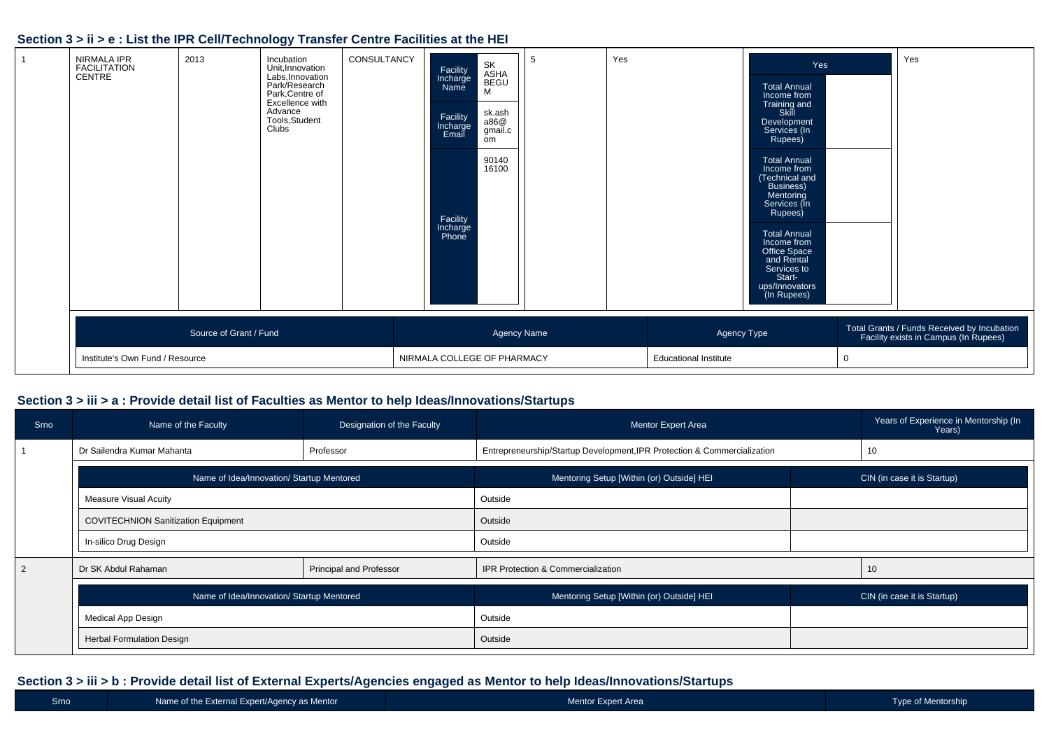#### **Section 3 > ii > e : List the IPR Cell/Technology Transfer Centre Facilities at the HEI**

| NIRMALA IPR<br>FACILITATION<br>CENTRE | 2013                   | Incubation<br>Unit, Innovation<br>Labs, Innovation<br>Park/Research<br>Park, Centre of<br>Excellence with<br>Advance<br>Tools, Student<br>Clubs | CONSULTANCY                 | Facility<br>Incharge<br>Name<br>Facility<br>Incharge<br>Email<br>Facility<br>Incharge<br>Phone | SK<br>ASHA<br>BEGU<br>M<br>sk.ash<br>a86@<br>gmail.c<br>om<br>90140<br>16100 | $\mathbf b$        | Yes                          |             | Yes<br><b>Total Annual</b><br>Income from<br>Training and<br>Skill<br>Development<br>Services (In<br>Rupees)<br><b>Total Annual</b><br>Income from<br>(Technical and<br>Business)<br>Mentoring<br>Services (In<br>Rupees)<br><b>Total Annual</b><br>Income from<br>Office Space<br>and Rental<br>Services to<br>Start-<br>ups/Innovators<br>(In Rupees) |  | Yes                                                                                  |
|---------------------------------------|------------------------|-------------------------------------------------------------------------------------------------------------------------------------------------|-----------------------------|------------------------------------------------------------------------------------------------|------------------------------------------------------------------------------|--------------------|------------------------------|-------------|---------------------------------------------------------------------------------------------------------------------------------------------------------------------------------------------------------------------------------------------------------------------------------------------------------------------------------------------------------|--|--------------------------------------------------------------------------------------|
|                                       | Source of Grant / Fund |                                                                                                                                                 |                             |                                                                                                |                                                                              | <b>Agency Name</b> |                              | Agency Type |                                                                                                                                                                                                                                                                                                                                                         |  | Total Grants / Funds Received by Incubation<br>Facility exists in Campus (In Rupees) |
| Institute's Own Fund / Resource       |                        |                                                                                                                                                 | NIRMALA COLLEGE OF PHARMACY |                                                                                                |                                                                              |                    | <b>Educational Institute</b> |             | 0                                                                                                                                                                                                                                                                                                                                                       |  |                                                                                      |

#### **Section 3 > iii > a : Provide detail list of Faculties as Mentor to help Ideas/Innovations/Startups**

| Srno           | Name of the Faculty                        | Designation of the Faculty     | <b>Mentor Expert Area</b>                                                | Years of Experience in Mentorship (In<br>Years) |
|----------------|--------------------------------------------|--------------------------------|--------------------------------------------------------------------------|-------------------------------------------------|
|                | Dr Sailendra Kumar Mahanta                 | Professor                      | Entrepreneurship/Startup Development, IPR Protection & Commercialization | 10                                              |
|                | Name of Idea/Innovation/ Startup Mentored  |                                | Mentoring Setup [Within (or) Outside] HEI                                | CIN (in case it is Startup)                     |
|                | <b>Measure Visual Acuity</b>               |                                | Outside                                                                  |                                                 |
|                | <b>COVITECHNION Sanitization Equipment</b> |                                | Outside                                                                  |                                                 |
|                | In-silico Drug Design                      |                                | Outside                                                                  |                                                 |
| $\overline{2}$ | Dr SK Abdul Rahaman                        | <b>Principal and Professor</b> | IPR Protection & Commercialization                                       | 10                                              |
|                | Name of Idea/Innovation/ Startup Mentored  |                                | Mentoring Setup [Within (or) Outside] HEI                                | CIN (in case it is Startup)                     |
|                | Medical App Design                         |                                | Outside                                                                  |                                                 |
|                | <b>Herbal Formulation Design</b>           |                                | Outside                                                                  |                                                 |

#### **Section 3 > iii > b : Provide detail list of External Experts/Agencies engaged as Mentor to help Ideas/Innovations/Startups**

| <b>Srno</b> | Name of the External Expert/Agency as Mentor | Mentor Expert Area | Type of Mentorship |
|-------------|----------------------------------------------|--------------------|--------------------|
|             |                                              |                    |                    |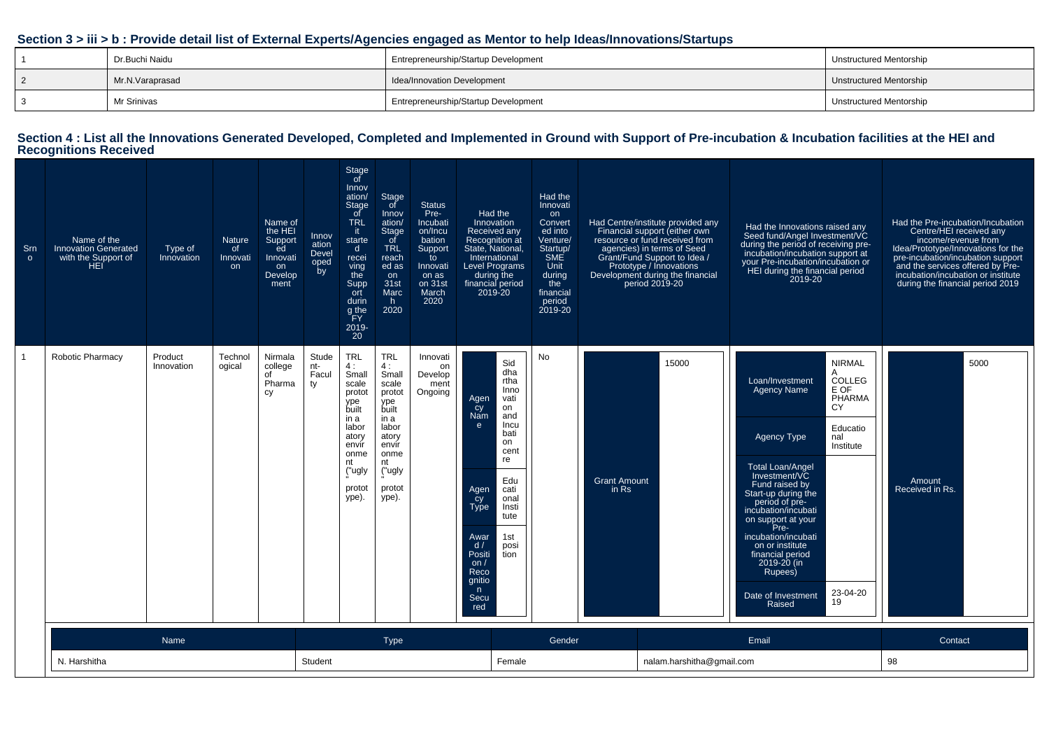#### **Section 3 > iii > b : Provide detail list of External Experts/Agencies engaged as Mentor to help Ideas/Innovations/Startups**

| Dr.Buchi Naidu  | Entrepreneurship/Startup Development        | Unstructured Mentorship |
|-----------------|---------------------------------------------|-------------------------|
| Mr.N.Varaprasad | I Idea/Innovation Development               | Unstructured Mentorship |
| Mr Srinivas     | <b>Entrepreneurship/Startup Development</b> | Unstructured Mentorship |

# **Section 4 : List all the Innovations Generated Developed, Completed and Implemented in Ground with Support of Pre-incubation & Incubation facilities at the HEI and Recognitions Received**

| Srn<br>$\circ$ | Name of the<br><b>Innovation Generated</b><br>with the Support of<br><b>HEI</b> | Type of<br>Innovation | <b>Nature</b><br>of<br>Innovati<br>on. | Name of<br>the HEI<br>Support<br>ed<br>Innovati<br>on<br>Develop<br>ment | Innov<br>ation<br>Devel<br>oped<br>by | Stage<br>of<br>Innov<br>ation/<br>Stage<br>of<br><b>TRL</b><br>it.<br>starte<br>$\mathsf{d}$<br>recei<br>ving<br>the<br>Supp<br>ort<br>durin<br>g the<br>FY.<br>2019-<br>$20^{-}$ | <b>Stage</b><br>of<br>Innov<br>ation/<br><b>Stage</b><br>of<br><b>TRL</b><br>reach<br>ed as<br>on<br>31st<br>Marc<br>h.<br>2020             | <b>Status</b><br>Pre-<br>Incubati<br>on/Incu<br>bation<br>Support<br>to<br>Innovati<br>on as<br>on 31st<br>March<br>2020 | 2019-20                                                                                                                         | Had the<br>Innovation<br>Received any<br>Recognition at<br>State, National,<br>International<br><b>Level Programs</b><br>during the<br>financial period | Had the<br>Innovati<br>on<br>Convert<br>ed into<br>Venture/<br>Startup/<br><b>SME</b><br>Unit<br>during<br>the<br>financial<br>period<br>2019-20 |                                | Had Centre/institute provided any<br>Financial support (either own<br>resource or fund received from<br>agencies) in terms of Seed<br>Grant/Fund Support to Idea /<br>Prototype / Innovations<br>Development during the financial<br>period 2019-20 | Had the Innovations raised any<br>Seed fund/Angel Investment/VC<br>during the period of receiving pre-<br>incubation/incubation support at<br>your Pre-incubation/incubation or<br>HEI during the financial period<br>2019-20                                                                                                                                                                                                                                    | Had the Pre-incubation/Incubation<br>Centre/HEI received any<br>income/revenue from<br>Idea/Prototype/Innovations for the<br>pre-incubation/incubation support<br>and the services offered by Pre-<br>incubation/incubation or institute<br>during the financial period 2019 |
|----------------|---------------------------------------------------------------------------------|-----------------------|----------------------------------------|--------------------------------------------------------------------------|---------------------------------------|-----------------------------------------------------------------------------------------------------------------------------------------------------------------------------------|---------------------------------------------------------------------------------------------------------------------------------------------|--------------------------------------------------------------------------------------------------------------------------|---------------------------------------------------------------------------------------------------------------------------------|---------------------------------------------------------------------------------------------------------------------------------------------------------|--------------------------------------------------------------------------------------------------------------------------------------------------|--------------------------------|-----------------------------------------------------------------------------------------------------------------------------------------------------------------------------------------------------------------------------------------------------|------------------------------------------------------------------------------------------------------------------------------------------------------------------------------------------------------------------------------------------------------------------------------------------------------------------------------------------------------------------------------------------------------------------------------------------------------------------|------------------------------------------------------------------------------------------------------------------------------------------------------------------------------------------------------------------------------------------------------------------------------|
| $\overline{1}$ | <b>Robotic Pharmacy</b>                                                         | Product<br>Innovation | Technol<br>ogical                      | Nirmala<br>college<br>of<br>Pharma<br>cy                                 | Stude<br>nt-<br>Facul<br>ty           | <b>TRL</b><br>4:<br>Small<br>scale<br>protot<br>ype<br>built<br>in a<br>labor<br>atory<br>envir<br>onme<br>nt<br>("ugly<br>protot<br>ype).                                        | <b>TRL</b><br>4 :<br>Small<br>scale<br>protot<br>ype<br>built<br>in a<br>labor<br>atory<br>envir<br>onme<br>nt<br>("ugly<br>protot<br>ype). | Innovati<br>on<br>Develop<br>ment<br>Ongoing                                                                             | Agen<br>cy<br>Nam<br>$\mathbf{e}$<br>Agen<br>Cy<br>Type<br>Awar<br>d/<br>Positi<br>on $/$<br>Reco<br>gnitio<br>n<br>Secu<br>red | Sid<br>dha<br>rtha<br>Inno<br>vati<br>on<br>and<br>Incu<br>bati<br>on<br>cent<br>re<br>Edu<br>cati<br>onal<br>Insti<br>tute<br>1st<br>posi<br>tion      | <b>No</b>                                                                                                                                        | <b>Grant Amount</b><br>in $Rs$ | 15000                                                                                                                                                                                                                                               | <b>NIRMAL</b><br>A<br>COLLEG<br>Loan/Investment<br>E OF<br><b>Agency Name</b><br>PHARMA<br><b>CY</b><br>Educatio<br><b>Agency Type</b><br>nal<br>Institute<br><b>Total Loan/Angel</b><br>Investment/VC<br>Fund raised by<br>Start-up during the<br>period of pre-<br>incubation/incubati<br>on support at your<br>Pre-<br>incubation/incubati<br>on or institute<br>financial period<br>2019-20 (in<br>Rupees)<br>23-04-20<br>Date of Investment<br>19<br>Raised | 5000<br>Amount<br>Received in Rs.                                                                                                                                                                                                                                            |
|                |                                                                                 | <b>Name</b>           |                                        |                                                                          |                                       |                                                                                                                                                                                   | <b>Type</b>                                                                                                                                 |                                                                                                                          |                                                                                                                                 |                                                                                                                                                         | Gender                                                                                                                                           |                                |                                                                                                                                                                                                                                                     | Email                                                                                                                                                                                                                                                                                                                                                                                                                                                            | Contact                                                                                                                                                                                                                                                                      |
|                | N. Harshitha<br>Student                                                         |                       |                                        |                                                                          |                                       |                                                                                                                                                                                   | Female                                                                                                                                      |                                                                                                                          |                                                                                                                                 | nalam.harshitha@gmail.com                                                                                                                               |                                                                                                                                                  | 98                             |                                                                                                                                                                                                                                                     |                                                                                                                                                                                                                                                                                                                                                                                                                                                                  |                                                                                                                                                                                                                                                                              |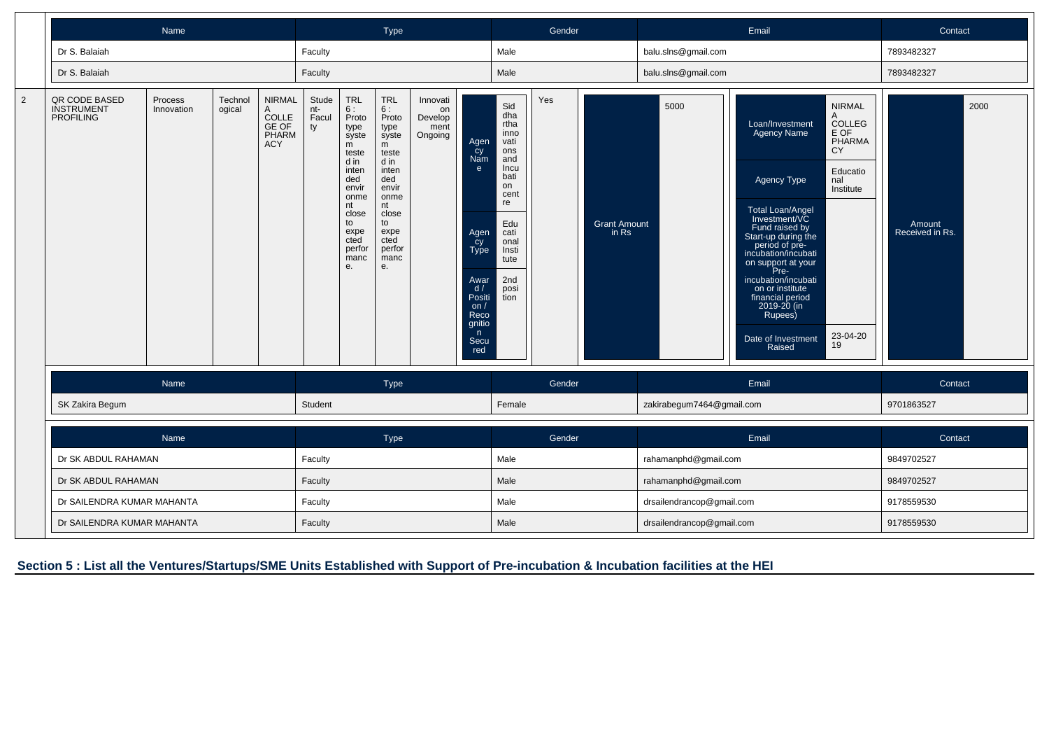|                |                                                        |                       | <b>Type</b>       |                                                                    |                             |                                                                                                                                                                |                                                                                                                                                                | Gender                                       |                                                                                                                   |                                                                                                                                                    | Email  |                              |                           |  | Contact                                                                                                                                                                                                                                                                                                                           |                                                                                                               |                           |      |
|----------------|--------------------------------------------------------|-----------------------|-------------------|--------------------------------------------------------------------|-----------------------------|----------------------------------------------------------------------------------------------------------------------------------------------------------------|----------------------------------------------------------------------------------------------------------------------------------------------------------------|----------------------------------------------|-------------------------------------------------------------------------------------------------------------------|----------------------------------------------------------------------------------------------------------------------------------------------------|--------|------------------------------|---------------------------|--|-----------------------------------------------------------------------------------------------------------------------------------------------------------------------------------------------------------------------------------------------------------------------------------------------------------------------------------|---------------------------------------------------------------------------------------------------------------|---------------------------|------|
|                | Dr S. Balaiah                                          |                       |                   |                                                                    | Faculty                     |                                                                                                                                                                |                                                                                                                                                                |                                              |                                                                                                                   | Male                                                                                                                                               |        |                              | balu.slns@gmail.com       |  |                                                                                                                                                                                                                                                                                                                                   |                                                                                                               | 7893482327                |      |
|                | Dr S. Balaiah                                          |                       |                   |                                                                    | Faculty                     |                                                                                                                                                                |                                                                                                                                                                |                                              |                                                                                                                   | Male                                                                                                                                               |        |                              | balu.slns@gmail.com       |  |                                                                                                                                                                                                                                                                                                                                   |                                                                                                               | 7893482327                |      |
| $\overline{2}$ | QR CODE BASED<br><b>INSTRUMENT</b><br><b>PROFILING</b> | Process<br>Innovation | Technol<br>ogical | <b>NIRMAL</b><br>Α<br><b>COLLE</b><br>GE OF<br>PHARM<br><b>ACY</b> | Stude<br>nt-<br>Facul<br>ty | <b>TRL</b><br>6:<br>Proto<br>type<br>syste<br>m<br>teste<br>d in<br>inten<br>ded<br>envir<br>onme<br>nt<br>close<br>to<br>expe<br>cted<br>perfor<br>manc<br>е. | <b>TRL</b><br>6:<br>Proto<br>type<br>syste<br>m<br>teste<br>d in<br>inten<br>ded<br>envir<br>onme<br>nt<br>close<br>to<br>expe<br>cted<br>perfor<br>manc<br>е. | Innovati<br>on<br>Develop<br>ment<br>Ongoing | Agen<br>cy<br>Nam<br>e<br>Agen<br>Cy<br>Type<br>Awar<br>d/<br>Positi<br>on/<br>Reco<br>gnitio<br>n<br>Secu<br>red | Sid<br>dha<br>rtha<br>inno<br>vati<br>ons<br>and<br>Incu<br>bati<br>on<br>cen<br>re<br>Edu<br>cati<br>onal<br>Insti<br>tute<br>2nd<br>posi<br>tion | Yes    | <b>Grant Amount</b><br>in Rs | 5000                      |  | Loan/Investment<br><b>Agency Name</b><br>Agency Type<br>Total Loan/Angel<br>Investment/VC<br>Fund raised by<br>Start-up during the<br>period of pre-<br>incubation/incubati<br>on support at your<br>Pre-<br>incubation/incubati<br>on or institute<br>financial period<br>2019-20 (in<br>Rupees)<br>Date of Investment<br>Raised | <b>NIRMAL</b><br>A<br><b>COLLEG</b><br>E OF<br>PHARMA<br>CY<br>Educatio<br>nal<br>Institute<br>23-04-20<br>19 | Amount<br>Received in Rs. | 2000 |
|                |                                                        | Name                  |                   |                                                                    |                             |                                                                                                                                                                | <b>Type</b>                                                                                                                                                    |                                              |                                                                                                                   |                                                                                                                                                    | Gender |                              |                           |  | Email                                                                                                                                                                                                                                                                                                                             |                                                                                                               | Contact                   |      |
|                | SK Zakira Begum                                        |                       |                   |                                                                    | Student                     |                                                                                                                                                                |                                                                                                                                                                |                                              |                                                                                                                   | Female                                                                                                                                             |        |                              | zakirabegum7464@gmail.com |  |                                                                                                                                                                                                                                                                                                                                   |                                                                                                               | 9701863527                |      |
|                |                                                        | Name                  |                   |                                                                    |                             |                                                                                                                                                                | Type                                                                                                                                                           |                                              |                                                                                                                   |                                                                                                                                                    | Gender |                              |                           |  | Email                                                                                                                                                                                                                                                                                                                             |                                                                                                               | Contact                   |      |
|                | Dr SK ABDUL RAHAMAN                                    |                       |                   |                                                                    | Faculty                     |                                                                                                                                                                |                                                                                                                                                                |                                              |                                                                                                                   | Male                                                                                                                                               |        |                              | rahamanphd@gmail.com      |  |                                                                                                                                                                                                                                                                                                                                   |                                                                                                               | 9849702527                |      |
|                | Dr SK ABDUL RAHAMAN                                    |                       |                   |                                                                    | Faculty                     |                                                                                                                                                                |                                                                                                                                                                |                                              | Male                                                                                                              |                                                                                                                                                    |        | rahamanphd@gmail.com         |                           |  |                                                                                                                                                                                                                                                                                                                                   | 9849702527                                                                                                    |                           |      |
|                | Dr SAILENDRA KUMAR MAHANTA                             |                       |                   |                                                                    | Faculty                     |                                                                                                                                                                |                                                                                                                                                                |                                              | Male                                                                                                              |                                                                                                                                                    |        | drsailendrancop@gmail.com    |                           |  |                                                                                                                                                                                                                                                                                                                                   | 9178559530                                                                                                    |                           |      |
|                | Dr SAILENDRA KUMAR MAHANTA                             |                       |                   |                                                                    | Faculty                     |                                                                                                                                                                |                                                                                                                                                                |                                              | Male                                                                                                              |                                                                                                                                                    |        | drsailendrancop@gmail.com    |                           |  | 9178559530                                                                                                                                                                                                                                                                                                                        |                                                                                                               |                           |      |

**Section 5 : List all the Ventures/Startups/SME Units Established with Support of Pre-incubation & Incubation facilities at the HEI**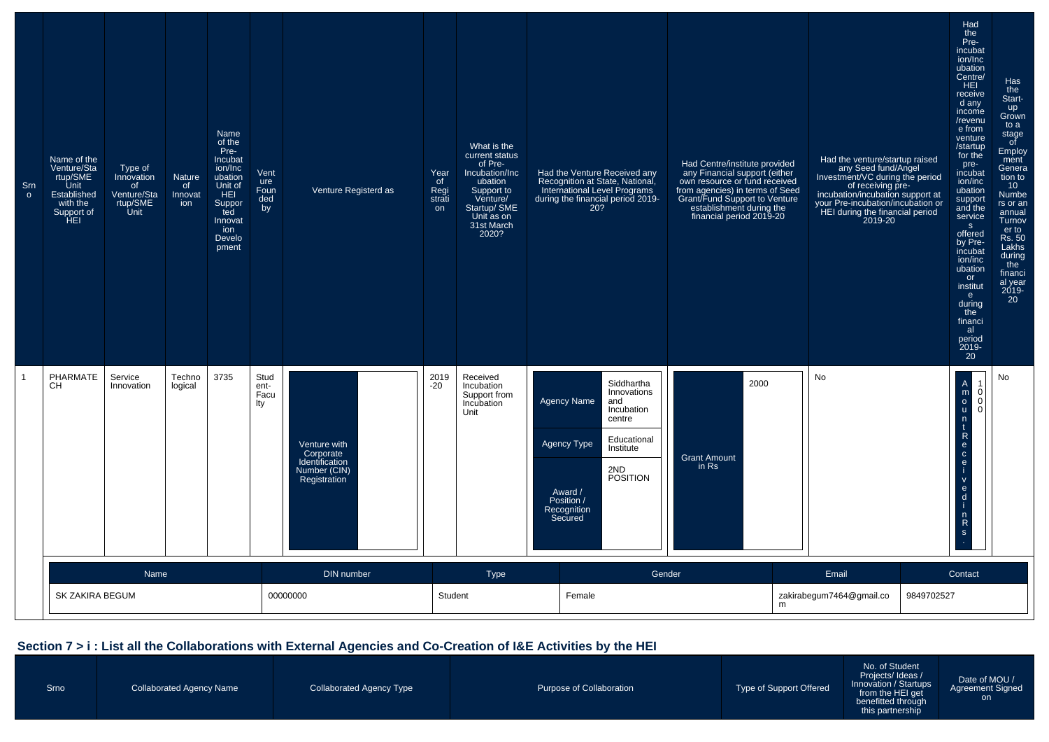| Srn<br>$\circ$ | Name of the<br>Venture/Sta<br>rtup/SME<br>Unit<br>Established<br>with the<br>Support of<br>HEI | Type of<br>Innovation<br>of<br>Venture/Sta<br>rtup/SME<br>Unit | <b>Nature</b><br>of<br>Innovat<br>ion | Name<br>of the<br>Pre-<br>Incubat<br>ion/Inc<br>ubation<br>Unit of<br>HEI<br>Suppor<br>ted<br>Innovat<br>ion<br>Develo<br>pment | Vent<br>ure<br>Foun<br>ded<br>by | Venture Registerd as                                                        | Year<br>of<br>Regi<br>strati<br>on | What is the<br>current status<br>of Pre-<br>Incubation/Inc<br>ubation<br>Support to<br>Venture/<br>Startup/ SME<br>Unit as on<br>31st March<br>2020? | Had the Venture Received any<br>Recognition at State, National<br><b>International Level Programs</b><br>during the financial period 2019-<br>20?                                                             | Had Centre/institute provided<br>any Financial support (either<br>own resource or fund received<br>from agencies) in terms of Seed<br>Grant/Fund Support to Venture<br>establishment during the<br>financial period 2019-20 | Had the venture/startup raised<br>any Seed fund/Angel<br>Investment/VC during the period<br>of receiving pre-<br>incubation/incubation support at<br>your Pre-incubation/incubation or<br>HEI during the financial period<br>2019-20 | Had<br>the<br>Pre-<br>incubat<br>ion/Inc<br>ubation<br>Centre/<br>HEL<br>receive<br>$\overline{a}$ d any<br>income<br>/revenu<br>e from<br>venture<br>/startup<br>for the<br>pre-<br>incubat<br>ion/inc<br>ubation<br>support<br>and the<br>service<br>S<br>offered<br>by Pre-<br>incubat<br>ion/inc<br>ubation<br>or<br>institut<br>e.<br>during<br>the<br>financi<br>al<br>period<br>2019-<br>$20^{\degree}$ | Has<br>the<br>Start-<br>up<br>Grown<br>to a<br>stage<br>of<br>Employ<br>ment<br>Genera<br>tion to<br>10 <sup>°</sup><br>Numbe<br>rs or an<br>annual<br>Turnov<br>er to<br>Rs. 50<br>Lakhs<br>during<br>the<br>financi<br>al year<br>2019-<br>20 |
|----------------|------------------------------------------------------------------------------------------------|----------------------------------------------------------------|---------------------------------------|---------------------------------------------------------------------------------------------------------------------------------|----------------------------------|-----------------------------------------------------------------------------|------------------------------------|------------------------------------------------------------------------------------------------------------------------------------------------------|---------------------------------------------------------------------------------------------------------------------------------------------------------------------------------------------------------------|-----------------------------------------------------------------------------------------------------------------------------------------------------------------------------------------------------------------------------|--------------------------------------------------------------------------------------------------------------------------------------------------------------------------------------------------------------------------------------|----------------------------------------------------------------------------------------------------------------------------------------------------------------------------------------------------------------------------------------------------------------------------------------------------------------------------------------------------------------------------------------------------------------|-------------------------------------------------------------------------------------------------------------------------------------------------------------------------------------------------------------------------------------------------|
|                | PHARMATE<br><b>CH</b>                                                                          | Service<br>Innovation                                          | Techno<br>logical                     | 3735                                                                                                                            | Stud<br>ent-<br>Facu<br>lty      | Venture with<br>Corporate<br>Identification<br>Number (CIN)<br>Registration | 2019<br>$-20$                      | Received<br>Incubation<br>Support from<br>Incubation<br>Unit                                                                                         | Siddhartha<br>Innovations<br><b>Agency Name</b><br>and<br>Incubation<br>centre<br>Educational<br><b>Agency Type</b><br>Institute<br>2ND<br><b>POSITION</b><br>Award /<br>Position /<br>Recognition<br>Secured | 2000<br><b>Grant Amount</b><br>in Rs                                                                                                                                                                                        | No                                                                                                                                                                                                                                   | $\begin{array}{c}\nA \\ m \\ 0 \\ u\n\end{array}$<br>$\begin{bmatrix} 1 \\ 0 \\ 0 \\ 0 \end{bmatrix}$<br>n<br>t<br>$\mathsf{R}$<br>$\frac{e}{c}$<br>$\mathbf{e}$<br>$\mathsf{v}$<br>$\mathbf{e}$<br>$\mathsf{d}$<br>$n \nR$<br>s                                                                                                                                                                               | No                                                                                                                                                                                                                                              |
|                | Name<br>DIN number<br>SK ZAKIRA BEGUM<br>00000000                                              |                                                                |                                       | Student                                                                                                                         | Type                             | Gender<br>Female                                                            | m                                  | Email<br>zakirabegum7464@gmail.co                                                                                                                    | Contact<br>9849702527                                                                                                                                                                                         |                                                                                                                                                                                                                             |                                                                                                                                                                                                                                      |                                                                                                                                                                                                                                                                                                                                                                                                                |                                                                                                                                                                                                                                                 |

#### **Section 7 > i : List all the Collaborations with External Agencies and Co-Creation of I&E Activities by the HEI**

Srno

No. of Student Projects/ Ideas / Innovation / Startupsfrom the HEI get benefitted through this partnership

Date of MOU / Agreement Signedon